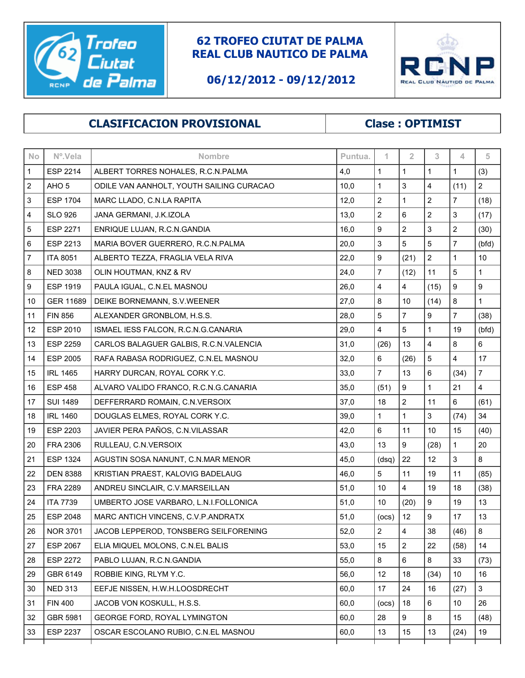

## **62 TROFEO CIUTAT DE PALMA REAL CLUB NAUTICO DE PALMA**

## **06/12/2012 - 09/12/2012**



## **CLASIFICACION PROVISIONAL Clase : OPTIMIST**

| No                      | Nº.Vela          | Nombre                                   | Puntua. | 1                       | $\overline{2}$          | 3              | 4                | 5                       |
|-------------------------|------------------|------------------------------------------|---------|-------------------------|-------------------------|----------------|------------------|-------------------------|
| $\mathbf{1}$            | <b>ESP 2214</b>  | ALBERT TORRES NOHALES, R.C.N.PALMA       | 4,0     | $\mathbf{1}$            | $\mathbf{1}$            | $\mathbf{1}$   | $\mathbf{1}$     | (3)                     |
| $\overline{\mathbf{c}}$ | AHO <sub>5</sub> | ODILE VAN AANHOLT, YOUTH SAILING CURACAO | 10,0    | $\mathbf 1$             | 3                       | 4              | (11)             | $\sqrt{2}$              |
| 3                       | <b>ESP 1704</b>  | MARC LLADO, C.N.LA RAPITA                | 12,0    | $\overline{c}$          | $\mathbf{1}$            | $\overline{c}$ | $\overline{7}$   | (18)                    |
| 4                       | <b>SLO 926</b>   | JANA GERMANI, J.K.IZOLA                  | 13,0    | $\overline{c}$          | 6                       | $\overline{2}$ | 3                | (17)                    |
| 5                       | <b>ESP 2271</b>  | ENRIQUE LUJAN, R.C.N.GANDIA              | 16,0    | 9                       | $\boldsymbol{2}$        | 3              | $\boldsymbol{2}$ | (30)                    |
| 6                       | ESP 2213         | MARIA BOVER GUERRERO, R.C.N.PALMA        | 20,0    | 3                       | 5                       | 5              | $\overline{7}$   | (bfd)                   |
| $\overline{7}$          | <b>ITA 8051</b>  | ALBERTO TEZZA, FRAGLIA VELA RIVA         | 22,0    | 9                       | (21)                    | $\overline{2}$ | $\mathbf{1}$     | 10                      |
| 8                       | <b>NED 3038</b>  | OLIN HOUTMAN, KNZ & RV                   | 24,0    | $\overline{7}$          | (12)                    | 11             | 5                | $\mathbf{1}$            |
| 9                       | <b>ESP 1919</b>  | PAULA IGUAL, C.N.EL MASNOU               | 26,0    | 4                       | $\overline{\mathbf{4}}$ | (15)           | 9                | $\boldsymbol{9}$        |
| 10                      | GER 11689        | DEIKE BORNEMANN, S.V.WEENER              | 27,0    | 8                       | 10                      | (14)           | 8                | $\mathbf{1}$            |
| 11                      | <b>FIN 856</b>   | ALEXANDER GRONBLOM, H.S.S.               | 28,0    | 5                       | $\overline{7}$          | 9              | $\overline{7}$   | (38)                    |
| 12                      | ESP 2010         | ISMAEL IESS FALCON, R.C.N.G.CANARIA      | 29,0    | 4                       | 5                       | 1              | 19               | (bfd)                   |
| 13                      | <b>ESP 2259</b>  | CARLOS BALAGUER GALBIS, R.C.N.VALENCIA   | 31,0    | (26)                    | 13                      | 4              | 8                | 6                       |
| 14                      | <b>ESP 2005</b>  | RAFA RABASA RODRIGUEZ, C.N.EL MASNOU     | 32,0    | 6                       | (26)                    | 5              | 4                | 17                      |
| 15                      | <b>IRL 1465</b>  | HARRY DURCAN, ROYAL CORK Y.C.            | 33,0    | $\overline{7}$          | 13                      | 6              | (34)             | $\overline{\mathbf{7}}$ |
| 16                      | <b>ESP 458</b>   | ALVARO VALIDO FRANCO, R.C.N.G.CANARIA    | 35,0    | (51)                    | 9                       | $\mathbf{1}$   | 21               | $\overline{4}$          |
| 17                      | <b>SUI 1489</b>  | DEFFERRARD ROMAIN, C.N. VERSOIX          | 37,0    | 18                      | $\overline{2}$          | 11             | 6                | (61)                    |
| 18                      | <b>IRL 1460</b>  | DOUGLAS ELMES, ROYAL CORK Y.C.           | 39,0    | $\mathbf{1}$            | $\mathbf{1}$            | 3              | (74)             | 34                      |
| 19                      | ESP 2203         | JAVIER PERA PAÑOS, C.N.VILASSAR          | 42,0    | 6                       | 11                      | 10             | 15               | (40)                    |
| 20                      | <b>FRA 2306</b>  | RULLEAU, C.N.VERSOIX                     | 43,0    | 13                      | 9                       | (28)           | $\mathbf{1}$     | 20                      |
| 21                      | ESP 1324         | AGUSTIN SOSA NANUNT, C.N.MAR MENOR       | 45,0    | (dsq)                   | 22                      | 12             | 3                | 8                       |
| 22                      | <b>DEN 8388</b>  | KRISTIAN PRAEST, KALOVIG BADELAUG        | 46,0    | 5                       | 11                      | 19             | 11               | (85)                    |
| 23                      | <b>FRA 2289</b>  | ANDREU SINCLAIR, C.V.MARSEILLAN          | 51,0    | 10                      | 4                       | 19             | 18               | (38)                    |
| 24                      | <b>ITA 7739</b>  | UMBERTO JOSE VARBARO, L.N.I.FOLLONICA    | 51,0    | 10                      | (20)                    | 9              | 19               | 13                      |
| 25                      | <b>ESP 2048</b>  | MARC ANTICH VINCENS, C.V.P.ANDRATX       | 51,0    | (ocs)                   | 12                      | 9              | 17               | 13                      |
| 26                      | <b>NOR 3701</b>  | JACOB LEPPEROD, TONSBERG SEILFORENING    | 52,0    | $\overline{\mathbf{c}}$ | $\overline{\mathbf{4}}$ | 38             | (46)             | $\bf8$                  |
| 27                      | ESP 2067         | ELIA MIQUEL MOLONS, C.N.EL BALIS         | 53,0    | 15                      | $\overline{2}$          | 22             | (58)             | 14                      |
| 28                      | <b>ESP 2272</b>  | PABLO LUJAN, R.C.N.GANDIA                | 55,0    | 8                       | 6                       | 8              | 33               | (73)                    |
| 29                      | GBR 6149         | ROBBIE KING, RLYM Y.C.                   | 56,0    | 12                      | 18                      | (34)           | 10               | 16                      |
| 30                      | <b>NED 313</b>   | EEFJE NISSEN, H.W.H.LOOSDRECHT           | 60,0    | 17                      | 24                      | 16             | (27)             | $\mathfrak{S}$          |
| 31                      | <b>FIN 400</b>   | JACOB VON KOSKULL, H.S.S.                | 60,0    | (ocs)                   | 18                      | 6              | 10               | 26                      |
| 32                      | GBR 5981         | GEORGE FORD, ROYAL LYMINGTON             | 60,0    | 28                      | 9                       | 8              | 15               | (48)                    |
| 33                      | <b>ESP 2237</b>  | OSCAR ESCOLANO RUBIO, C.N.EL MASNOU      | 60,0    | 13                      | 15                      | 13             | (24)             | 19                      |
|                         |                  |                                          |         |                         |                         |                |                  |                         |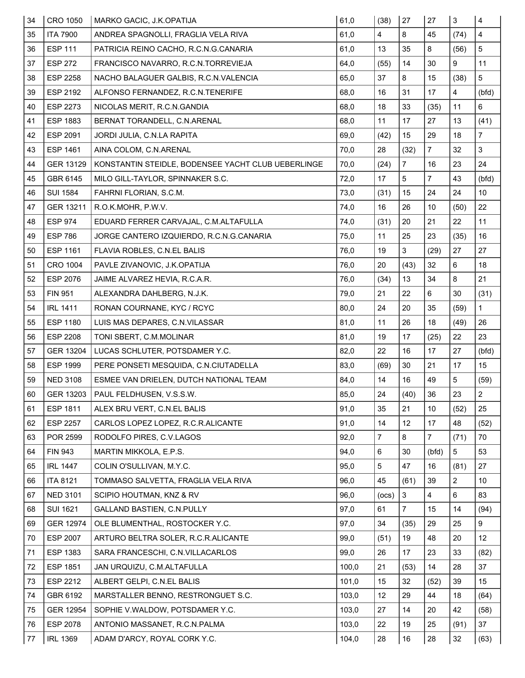| 34      | CRO 1050         | MARKO GACIC, J.K.OPATIJA                           | 61,0  | (38)           | 27                      | 27             | $\mathbf{3}$            | $\overline{\mathbf{4}}$ |
|---------|------------------|----------------------------------------------------|-------|----------------|-------------------------|----------------|-------------------------|-------------------------|
| 35      | <b>ITA 7900</b>  | ANDREA SPAGNOLLI, FRAGLIA VELA RIVA                | 61,0  | 4              | 8                       | 45             | (74)                    | 4                       |
| 36      | <b>ESP 111</b>   | PATRICIA REINO CACHO, R.C.N.G.CANARIA              | 61,0  | 13             | 35                      | 8              | (56)                    | 5                       |
| 37      | <b>ESP 272</b>   | FRANCISCO NAVARRO, R.C.N.TORREVIEJA                | 64,0  | (55)           | 14                      | 30             | 9                       | 11                      |
| 38      | <b>ESP 2258</b>  | NACHO BALAGUER GALBIS, R.C.N.VALENCIA              | 65,0  | 37             | 8                       | 15             | (38)                    | 5                       |
| 39      | ESP 2192         | ALFONSO FERNANDEZ, R.C.N.TENERIFE                  | 68,0  | 16             | 31                      | 17             | $\overline{\mathbf{4}}$ | (bfd)                   |
| 40      | ESP 2273         | NICOLAS MERIT, R.C.N.GANDIA                        | 68,0  | 18             | 33                      | (35)           | 11                      | 6                       |
| 41      | <b>ESP 1883</b>  | BERNAT TORANDELL, C.N.ARENAL                       | 68,0  | 11             | 17                      | 27             | 13                      | (41)                    |
| 42      | ESP 2091         | JORDI JULIA, C.N.LA RAPITA                         | 69,0  | (42)           | 15                      | 29             | 18                      | $\overline{7}$          |
| 43      | <b>ESP 1461</b>  | AINA COLOM, C.N.ARENAL                             | 70,0  | 28             | (32)                    | $\overline{7}$ | 32                      | 3                       |
| 44      | GER 13129        | KONSTANTIN STEIDLE, BODENSEE YACHT CLUB UEBERLINGE | 70,0  | (24)           | $\overline{\mathbf{7}}$ | 16             | 23                      | 24                      |
| 45      | GBR 6145         | MILO GILL-TAYLOR, SPINNAKER S.C.                   | 72,0  | 17             | 5                       | $\overline{7}$ | 43                      | (bfd)                   |
| 46      | <b>SUI 1584</b>  | FAHRNI FLORIAN, S.C.M.                             | 73,0  | (31)           | 15                      | 24             | 24                      | 10                      |
| 47      | GER 13211        | R.O.K.MOHR, P.W.V.                                 | 74,0  | 16             | 26                      | 10             | (50)                    | 22                      |
| 48      | <b>ESP 974</b>   | EDUARD FERRER CARVAJAL, C.M.ALTAFULLA              | 74,0  | (31)           | 20                      | 21             | 22                      | 11                      |
| 49      | <b>ESP 786</b>   | JORGE CANTERO IZQUIERDO, R.C.N.G.CANARIA           | 75,0  | 11             | 25                      | 23             | (35)                    | 16                      |
| 50      | ESP 1161         | FLAVIA ROBLES, C.N.EL BALIS                        | 76,0  | 19             | 3                       | (29)           | 27                      | 27                      |
| 51      | <b>CRO 1004</b>  | PAVLE ZIVANOVIC, J.K.OPATIJA                       | 76,0  | 20             | (43)                    | 32             | 6                       | 18                      |
| 52      | ESP 2076         | JAIME ALVAREZ HEVIA, R.C.A.R.                      | 76,0  | (34)           | 13                      | 34             | 8                       | 21                      |
| 53      | <b>FIN 951</b>   | ALEXANDRA DAHLBERG, N.J.K.                         | 79,0  | 21             | 22                      | 6              | 30                      | (31)                    |
| 54      | <b>IRL 1411</b>  | RONAN COURNANE, KYC / RCYC                         | 80,0  | 24             | 20                      | 35             | (59)                    | $\mathbf{1}$            |
| 55      | <b>ESP 1180</b>  | LUIS MAS DEPARES, C.N.VILASSAR                     | 81,0  | 11             | 26                      | 18             | (49)                    | 26                      |
| 56      | <b>ESP 2208</b>  | TONI SBERT, C.M.MOLINAR                            | 81,0  | 19             | 17                      | (25)           | 22                      | 23                      |
| 57      | GER 13204        | LUCAS SCHLUTER, POTSDAMER Y.C.                     | 82,0  | 22             | 16                      | 17             | 27                      | (bfd)                   |
| 58      | <b>ESP 1999</b>  | PERE PONSETI MESQUIDA, C.N.CIUTADELLA              | 83,0  | (69)           | 30                      | 21             | 17                      | 15                      |
| 59      | <b>NED 3108</b>  | ESMEE VAN DRIELEN, DUTCH NATIONAL TEAM             | 84,0  | 14             | 16                      | 49             | 5                       | (59)                    |
| 60      | GER 13203        | PAUL FELDHUSEN, V.S.S.W.                           | 85,0  | 24             | (40)                    | 36             | 23                      | $\sqrt{2}$              |
| 61      | <b>ESP 1811</b>  | ALEX BRU VERT, C.N.EL BALIS                        | 91,0  | 35             | 21                      | 10             | (52)                    | 25                      |
| 62      | <b>ESP 2257</b>  | CARLOS LOPEZ LOPEZ, R.C.R.ALICANTE                 | 91,0  | 14             | 12                      | 17             | 48                      | (52)                    |
| 63      | POR 2599         | RODOLFO PIRES, C.V.LAGOS                           | 92,0  | $\overline{7}$ | 8                       | $\overline{7}$ | (71)                    | 70                      |
| 64      | <b>FIN 943</b>   | MARTIN MIKKOLA, E.P.S.                             | 94,0  | 6              | 30                      | (bfd)          | 5                       | 53                      |
| 65      | <b>IRL 1447</b>  | COLIN O'SULLIVAN, M.Y.C.                           | 95,0  | 5              | 47                      | 16             | (81)                    | 27                      |
| 66      | <b>ITA 8121</b>  | TOMMASO SALVETTA, FRAGLIA VELA RIVA                | 96,0  | 45             | (61)                    | 39             | $\overline{2}$          | 10                      |
| 67      | <b>NED 3101</b>  | SCIPIO HOUTMAN, KNZ & RV                           | 96,0  | (ocs)          | $\mathbf 3$             | 4              | 6                       | 83                      |
| 68      | <b>SUI 1621</b>  | GALLAND BASTIEN, C.N.PULLY                         | 97,0  | 61             | $\overline{7}$          | 15             | 14                      | (94)                    |
| 69      | <b>GER 12974</b> | OLE BLUMENTHAL, ROSTOCKER Y.C.                     | 97,0  | 34             | (35)                    | 29             | 25                      | 9                       |
| 70      | <b>ESP 2007</b>  | ARTURO BELTRA SOLER, R.C.R.ALICANTE                | 99,0  | (51)           | 19                      | 48             | 20                      | 12                      |
| 71      | ESP 1383         | SARA FRANCESCHI, C.N.VILLACARLOS                   | 99,0  | 26             | 17                      | 23             | 33                      | (82)                    |
| 72      | <b>ESP 1851</b>  | JAN URQUIZU, C.M.ALTAFULLA                         | 100,0 | 21             | (53)                    | 14             | 28                      | 37                      |
| 73      | ESP 2212         | ALBERT GELPI, C.N.EL BALIS                         | 101,0 | 15             | 32                      | (52)           | 39                      | 15                      |
| 74      | GBR 6192         | MARSTALLER BENNO, RESTRONGUET S.C.                 | 103,0 | 12             | 29                      | 44             | 18                      | (64)                    |
| 75      | <b>GER 12954</b> | SOPHIE V.WALDOW, POTSDAMER Y.C.                    | 103,0 | 27             | 14                      | 20             | 42                      | (58)                    |
| 76      | <b>ESP 2078</b>  | ANTONIO MASSANET, R.C.N.PALMA                      | 103,0 | 22             | 19                      | 25             | (91)                    | 37                      |
| $77 \,$ | <b>IRL 1369</b>  | ADAM D'ARCY, ROYAL CORK Y.C.                       | 104,0 | 28             | 16                      | 28             | 32                      | (63)                    |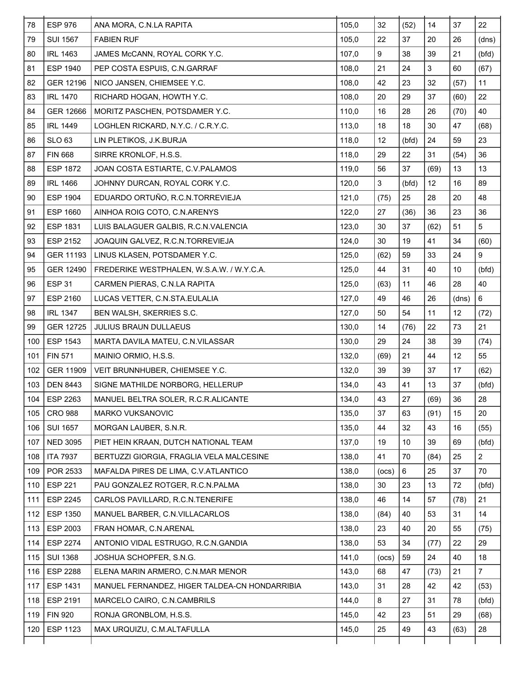| <b>SUI 1567</b> |                                               |       |       |       |      |       |                |
|-----------------|-----------------------------------------------|-------|-------|-------|------|-------|----------------|
|                 | <b>FABIEN RUF</b>                             | 105,0 | 22    | 37    | 20   | 26    | (dns)          |
| <b>IRL 1463</b> | JAMES McCANN, ROYAL CORK Y.C.                 | 107,0 | 9     | 38    | 39   | 21    | (bfd)          |
| <b>ESP 1940</b> | PEP COSTA ESPUIS, C.N.GARRAF                  | 108,0 | 21    | 24    | 3    | 60    | (67)           |
| GER 12196       | NICO JANSEN, CHIEMSEE Y.C.                    | 108,0 | 42    | 23    | 32   | (57)  | 11             |
| <b>IRL 1470</b> | RICHARD HOGAN, HOWTH Y.C.                     | 108,0 | 20    | 29    | 37   | (60)  | 22             |
| GER 12666       | MORITZ PASCHEN, POTSDAMER Y.C.                | 110,0 | 16    | 28    | 26   | (70)  | 40             |
| <b>IRL 1449</b> | LOGHLEN RICKARD, N.Y.C. / C.R.Y.C.            | 113,0 | 18    | 18    | 30   | 47    | (68)           |
| <b>SLO 63</b>   | LIN PLETIKOS, J.K.BURJA                       | 118,0 | 12    | (bfd) | 24   | 59    | 23             |
| <b>FIN 668</b>  | SIRRE KRONLOF, H.S.S.                         | 118,0 | 29    | 22    | 31   | (54)  | 36             |
| <b>ESP 1872</b> | JOAN COSTA ESTIARTE, C.V. PALAMOS             | 119,0 | 56    | 37    | (69) | 13    | 13             |
| <b>IRL 1466</b> | JOHNNY DURCAN, ROYAL CORK Y.C.                | 120,0 | 3     | (bfd) | 12   | 16    | 89             |
| <b>ESP 1904</b> | EDUARDO ORTUÑO, R.C.N.TORREVIEJA              | 121,0 | (75)  | 25    | 28   | 20    | 48             |
| ESP 1660        | AINHOA ROIG COTO, C.N.ARENYS                  | 122,0 | 27    | (36)  | 36   | 23    | 36             |
| <b>ESP 1831</b> | LUIS BALAGUER GALBIS, R.C.N.VALENCIA          | 123,0 | 30    | 37    | (62) | 51    | 5              |
| ESP 2152        | JOAQUIN GALVEZ, R.C.N.TORREVIEJA              | 124,0 | 30    | 19    | 41   | 34    | (60)           |
| GER 11193       | LINUS KLASEN, POTSDAMER Y.C.                  | 125,0 | (62)  | 59    | 33   | 24    | 9              |
| GER 12490       | FREDERIKE WESTPHALEN, W.S.A.W. / W.Y.C.A.     | 125,0 | 44    | 31    | 40   | 10    | (bfd)          |
| <b>ESP 31</b>   | CARMEN PIERAS, C.N.LA RAPITA                  | 125,0 | (63)  | 11    | 46   | 28    | 40             |
| ESP 2160        | LUCAS VETTER, C.N.STA.EULALIA                 | 127,0 | 49    | 46    | 26   | (dns) | $6\phantom{1}$ |
| <b>IRL 1347</b> | BEN WALSH, SKERRIES S.C.                      | 127,0 | 50    | 54    | 11   | 12    | (72)           |
| GER 12725       | JULIUS BRAUN DULLAEUS                         | 130,0 | 14    | (76)  | 22   | 73    | 21             |
| ESP 1543        | MARTA DAVILA MATEU, C.N.VILASSAR              | 130,0 | 29    | 24    | 38   | 39    | (74)           |
| <b>FIN 571</b>  | MAINIO ORMIO, H.S.S.                          | 132,0 | (69)  | 21    | 44   | 12    | 55             |
| GER 11909       | VEIT BRUNNHUBER, CHIEMSEE Y.C.                | 132,0 | 39    | 39    | 37   | 17    | (62)           |
| <b>DEN 8443</b> | SIGNE MATHILDE NORBORG, HELLERUP              | 134,0 | 43    | 41    | 13   | 37    | (bfd)          |
| ESP 2263        | MANUEL BELTRA SOLER, R.C.R.ALICANTE           | 134,0 | 43    | 27    | (69) | 36    | 28             |
| <b>CRO 988</b>  | MARKO VUKSANOVIC                              | 135,0 | 37    | 63    | (91) | 15    | 20             |
| <b>SUI 1657</b> | MORGAN LAUBER, S.N.R.                         | 135,0 | 44    | 32    | 43   | 16    | (55)           |
| <b>NED 3095</b> | PIET HEIN KRAAN, DUTCH NATIONAL TEAM          | 137,0 | 19    | 10    | 39   | 69    | (bfd)          |
| <b>ITA 7937</b> | BERTUZZI GIORGIA, FRAGLIA VELA MALCESINE      | 138,0 | 41    | 70    | (84) | 25    | $\overline{2}$ |
| POR 2533        | MAFALDA PIRES DE LIMA, C.V.ATLANTICO          | 138,0 | (ocs) | 6     | 25   | 37    | 70             |
| ESP 221         | PAU GONZALEZ ROTGER, R.C.N.PALMA              | 138,0 | 30    | 23    | 13   | 72    | (bfd)          |
| ESP 2245        | CARLOS PAVILLARD, R.C.N.TENERIFE              | 138,0 | 46    | 14    | 57   | (78)  | 21             |
| 112 ESP 1350    | MANUEL BARBER, C.N. VILLACARLOS               | 138,0 | (84)  | 40    | 53   | 31    | 14             |
| ESP 2003        | FRAN HOMAR, C.N.ARENAL                        | 138,0 | 23    | 40    | 20   | 55    | (75)           |
| ESP 2274        | ANTONIO VIDAL ESTRUGO, R.C.N.GANDIA           | 138,0 | 53    | 34    | (77) | 22    | 29             |
| <b>SUI 1368</b> | JOSHUA SCHOPFER, S.N.G.                       | 141,0 | (ocs) | 59    | 24   | 40    | 18             |
| ESP 2288        | ELENA MARIN ARMERO, C.N.MAR MENOR             | 143,0 | 68    | 47    | (73) | 21    | $\overline{7}$ |
| ESP 1431        | MANUEL FERNANDEZ, HIGER TALDEA-CN HONDARRIBIA | 143,0 | 31    | 28    | 42   | 42    | (53)           |
| ESP 2191        | MARCELO CAIRO, C.N.CAMBRILS                   | 144,0 | 8     | 27    | 31   | 78    | (bfd)          |
| <b>FIN 920</b>  | RONJA GRONBLOM, H.S.S.                        | 145,0 | 42    | 23    | 51   | 29    | (68)           |
| <b>ESP 1123</b> | MAX URQUIZU, C.M.ALTAFULLA                    | 145,0 | 25    | 49    | 43   | (63)  | 28             |
|                 |                                               |       |       |       |      |       |                |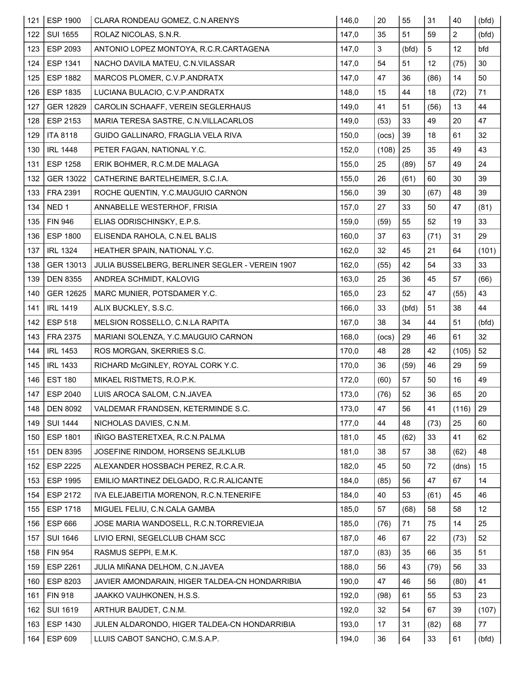| 121 | <b>ESP 1900</b>  | CLARA RONDEAU GOMEZ, C.N.ARENYS                 | 146,0 | 20             | 55    | 31   | 40             | (bfd) |
|-----|------------------|-------------------------------------------------|-------|----------------|-------|------|----------------|-------|
| 122 | <b>SUI 1655</b>  | ROLAZ NICOLAS, S.N.R.                           | 147,0 | 35             | 51    | 59   | $\overline{2}$ | (bfd) |
| 123 | ESP 2093         | ANTONIO LOPEZ MONTOYA, R.C.R.CARTAGENA          | 147,0 | $\mathfrak{S}$ | (bfd) | 5    | 12             | bfd   |
| 124 | ESP 1341         | NACHO DAVILA MATEU, C.N.VILASSAR                | 147,0 | 54             | 51    | 12   | (75)           | 30    |
| 125 | <b>ESP 1882</b>  | MARCOS PLOMER, C.V.P.ANDRATX                    | 147,0 | 47             | 36    | (86) | 14             | 50    |
| 126 | <b>ESP 1835</b>  | LUCIANA BULACIO, C.V.P.ANDRATX                  | 148,0 | 15             | 44    | 18   | (72)           | 71    |
| 127 | GER 12829        | CAROLIN SCHAAFF, VEREIN SEGLERHAUS              | 149,0 | 41             | 51    | (56) | 13             | 44    |
| 128 | ESP 2153         | MARIA TERESA SASTRE, C.N.VILLACARLOS            | 149,0 | (53)           | 33    | 49   | 20             | 47    |
| 129 | <b>ITA 8118</b>  | GUIDO GALLINARO, FRAGLIA VELA RIVA              | 150,0 | (ocs)          | 39    | 18   | 61             | 32    |
| 130 | <b>IRL 1448</b>  | PETER FAGAN, NATIONAL Y.C.                      | 152,0 | (108)          | 25    | 35   | 49             | 43    |
| 131 | <b>ESP 1258</b>  | ERIK BOHMER, R.C.M.DE MALAGA                    | 155,0 | 25             | (89)  | 57   | 49             | 24    |
| 132 | GER 13022        | CATHERINE BARTELHEIMER, S.C.I.A.                | 155,0 | 26             | (61)  | 60   | 30             | 39    |
| 133 | FRA 2391         | ROCHE QUENTIN, Y.C.MAUGUIO CARNON               | 156,0 | 39             | 30    | (67) | 48             | 39    |
| 134 | NED <sub>1</sub> | ANNABELLE WESTERHOF, FRISIA                     | 157,0 | 27             | 33    | 50   | 47             | (81)  |
| 135 | <b>FIN 946</b>   | ELIAS ODRISCHINSKY, E.P.S.                      | 159,0 | (59)           | 55    | 52   | 19             | 33    |
| 136 | <b>ESP 1800</b>  | ELISENDA RAHOLA, C.N.EL BALIS                   | 160,0 | 37             | 63    | (71) | 31             | 29    |
| 137 | <b>IRL 1324</b>  | HEATHER SPAIN, NATIONAL Y.C.                    | 162,0 | 32             | 45    | 21   | 64             | (101) |
| 138 | GER 13013        | JULIA BUSSELBERG, BERLINER SEGLER - VEREIN 1907 | 162,0 | (55)           | 42    | 54   | 33             | 33    |
| 139 | <b>DEN 8355</b>  | ANDREA SCHMIDT, KALOVIG                         | 163,0 | 25             | 36    | 45   | 57             | (66)  |
| 140 | GER 12625        | MARC MUNIER, POTSDAMER Y.C.                     | 165,0 | 23             | 52    | 47   | (55)           | 43    |
| 141 | <b>IRL 1419</b>  | ALIX BUCKLEY, S.S.C.                            | 166,0 | 33             | (bfd) | 51   | 38             | 44    |
| 142 | <b>ESP 518</b>   | MELSION ROSSELLO, C.N.LA RAPITA                 | 167,0 | 38             | 34    | 44   | 51             | (bfd) |
| 143 | FRA 2375         | MARIANI SOLENZA, Y.C.MAUGUIO CARNON             | 168,0 | (ocs)          | 29    | 46   | 61             | 32    |
| 144 | <b>IRL 1453</b>  | ROS MORGAN, SKERRIES S.C.                       | 170,0 | 48             | 28    | 42   | (105)          | 52    |
| 145 | <b>IRL 1433</b>  | RICHARD McGINLEY, ROYAL CORK Y.C.               | 170,0 | 36             | (59)  | 46   | 29             | 59    |
| 146 | <b>EST 180</b>   | MIKAEL RISTMETS, R.O.P.K.                       | 172,0 | (60)           | 57    | 50   | 16             | 49    |
| 147 | <b>ESP 2040</b>  | LUIS AROCA SALOM, C.N.JAVEA                     | 173,0 | (76)           | 52    | 36   | 65             | 20    |
| 148 | <b>DEN 8092</b>  | VALDEMAR FRANDSEN, KETERMINDE S.C.              | 173,0 | 47             | 56    | 41   | (116)          | 29    |
| 149 | <b>SUI 1444</b>  | NICHOLAS DAVIES, C.N.M.                         | 177,0 | 44             | 48    |      | 25             | 60    |
| 150 | <b>ESP 1801</b>  |                                                 |       |                |       | (73) |                |       |
| 151 |                  | IÑIGO BASTERETXEA, R.C.N.PALMA                  | 181,0 | 45             | (62)  | 33   | 41             | 62    |
|     | <b>DEN 8395</b>  | JOSEFINE RINDOM, HORSENS SEJLKLUB               | 181,0 | 38             | 57    | 38   | (62)           | 48    |
| 152 | <b>ESP 2225</b>  | ALEXANDER HOSSBACH PEREZ, R.C.A.R.              | 182,0 | 45             | 50    | 72   | (dns)          | 15    |
| 153 | <b>ESP 1995</b>  | EMILIO MARTINEZ DELGADO, R.C.R.ALICANTE         | 184,0 | (85)           | 56    | 47   | 67             | 14    |
| 154 | ESP 2172         | IVA ELEJABEITIA MORENON, R.C.N.TENERIFE         | 184,0 | 40             | 53    | (61) | 45             | 46    |
| 155 | <b>ESP 1718</b>  | MIGUEL FELIU, C.N.CALA GAMBA                    | 185,0 | 57             | (68)  | 58   | 58             | 12    |
| 156 | <b>ESP 666</b>   | JOSE MARIA WANDOSELL, R.C.N.TORREVIEJA          | 185,0 | (76)           | 71    | 75   | 14             | 25    |
| 157 | <b>SUI 1646</b>  | LIVIO ERNI, SEGELCLUB CHAM SCC                  | 187,0 | 46             | 67    | 22   | (73)           | 52    |
| 158 | <b>FIN 954</b>   | RASMUS SEPPI, E.M.K.                            | 187,0 | (83)           | 35    | 66   | 35             | 51    |
| 159 | <b>ESP 2261</b>  | JULIA MIÑANA DELHOM, C.N.JAVEA                  | 188,0 | 56             | 43    | (79) | 56             | 33    |
| 160 | ESP 8203         | JAVIER AMONDARAIN, HIGER TALDEA-CN HONDARRIBIA  | 190,0 | 47             | 46    | 56   | (80)           | 41    |
| 161 | <b>FIN 918</b>   | JAAKKO VAUHKONEN, H.S.S.                        | 192,0 | (98)           | 61    | 55   | 53             | 23    |
| 162 | <b>SUI 1619</b>  | ARTHUR BAUDET, C.N.M.                           | 192,0 | 32             | 54    | 67   | 39             | (107) |
| 163 | <b>ESP 1430</b>  | JULEN ALDARONDO, HIGER TALDEA-CN HONDARRIBIA    | 193,0 | 17             | 31    | (82) | 68             | 77    |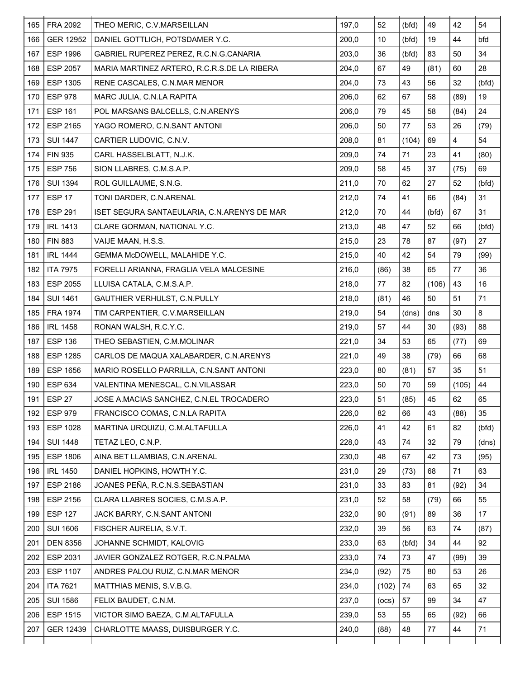| 165 | <b>FRA 2092</b>   | THEO MERIC, C.V.MARSEILLAN                  | 197,0 | 52    | (bfd) | 49    | 42                      | 54    |
|-----|-------------------|---------------------------------------------|-------|-------|-------|-------|-------------------------|-------|
| 166 | <b>GER 12952</b>  | DANIEL GOTTLICH, POTSDAMER Y.C.             | 200,0 | 10    | (bfd) | 19    | 44                      | bfd   |
| 167 | <b>ESP 1996</b>   | GABRIEL RUPEREZ PEREZ, R.C.N.G.CANARIA      | 203,0 | 36    | (bfd) | 83    | 50                      | 34    |
| 168 | <b>ESP 2057</b>   | MARIA MARTINEZ ARTERO, R.C.R.S.DE LA RIBERA | 204,0 | 67    | 49    | (81)  | 60                      | 28    |
| 169 | ESP 1305          | RENE CASCALES, C.N.MAR MENOR                | 204,0 | 73    | 43    | 56    | 32                      | (bfd) |
| 170 | <b>ESP 978</b>    | MARC JULIA, C.N.LA RAPITA                   | 206,0 | 62    | 67    | 58    | (89)                    | 19    |
| 171 | <b>ESP 161</b>    | POL MARSANS BALCELLS, C.N.ARENYS            | 206,0 | 79    | 45    | 58    | (84)                    | 24    |
| 172 | ESP 2165          | YAGO ROMERO, C.N.SANT ANTONI                | 206,0 | 50    | 77    | 53    | 26                      | (79)  |
| 173 | <b>SUI 1447</b>   | CARTIER LUDOVIC, C.N.V.                     | 208,0 | 81    | (104) | 69    | $\overline{\mathbf{4}}$ | 54    |
| 174 | <b>FIN 935</b>    | CARL HASSELBLATT, N.J.K.                    | 209,0 | 74    | 71    | 23    | 41                      | (80)  |
| 175 | <b>ESP 756</b>    | SION LLABRES, C.M.S.A.P.                    | 209,0 | 58    | 45    | 37    | (75)                    | 69    |
| 176 | <b>SUI 1394</b>   | ROL GUILLAUME, S.N.G.                       | 211,0 | 70    | 62    | 27    | 52                      | (bfd) |
| 177 | <b>ESP 17</b>     | TONI DARDER, C.N.ARENAL                     | 212,0 | 74    | 41    | 66    | (84)                    | 31    |
| 178 | <b>ESP 291</b>    | ISET SEGURA SANTAEULARIA, C.N.ARENYS DE MAR | 212,0 | 70    | 44    | (bfd) | 67                      | 31    |
| 179 | <b>IRL 1413</b>   | CLARE GORMAN, NATIONAL Y.C.                 | 213,0 | 48    | 47    | 52    | 66                      | (bfd) |
| 180 | <b>FIN 883</b>    | VAIJE MAAN, H.S.S.                          | 215,0 | 23    | 78    | 87    | (97)                    | 27    |
| 181 | <b>IRL 1444</b>   | GEMMA McDOWELL, MALAHIDE Y.C.               | 215,0 | 40    | 42    | 54    | 79                      | (99)  |
| 182 | <b>ITA 7975</b>   | FORELLI ARIANNA, FRAGLIA VELA MALCESINE     | 216,0 | (86)  | 38    | 65    | 77                      | 36    |
| 183 | <b>ESP 2055</b>   | LLUISA CATALA, C.M.S.A.P.                   | 218,0 | 77    | 82    | (106) | 43                      | 16    |
| 184 | <b>SUI 1461</b>   | GAUTHIER VERHULST, C.N.PULLY                | 218,0 | (81)  | 46    | 50    | 51                      | 71    |
| 185 | <b>FRA 1974</b>   | TIM CARPENTIER, C.V.MARSEILLAN              | 219,0 | 54    | (dns) | dns   | 30                      | 8     |
| 186 | <b>IRL 1458</b>   | RONAN WALSH, R.C.Y.C.                       | 219,0 | 57    | 44    | 30    | (93)                    | 88    |
| 187 | <b>ESP 136</b>    | THEO SEBASTIEN, C.M.MOLINAR                 | 221,0 | 34    | 53    | 65    | (77)                    | 69    |
| 188 | <b>ESP 1285</b>   | CARLOS DE MAQUA XALABARDER, C.N.ARENYS      | 221,0 | 49    | 38    | (79)  | 66                      | 68    |
| 189 | <b>ESP 1656</b>   | MARIO ROSELLO PARRILLA, C.N.SANT ANTONI     | 223,0 | 80    | (81)  | 57    | 35                      | 51    |
| 190 | ESP 634           | VALENTINA MENESCAL, C.N.VILASSAR            | 223,0 | 50    | 70    | 59    | (105)                   | 44    |
| 191 | ESP <sub>27</sub> | JOSE A.MACIAS SANCHEZ. C.N.EL TROCADERO     | 223,0 | 51    | (85)  | 45    | 62                      | 65    |
| 192 | <b>ESP 979</b>    | FRANCISCO COMAS, C.N.LA RAPITA              | 226,0 | 82    | 66    | 43    | (88)                    | 35    |
| 193 | <b>ESP 1028</b>   | MARTINA URQUIZU, C.M.ALTAFULLA              | 226,0 | 41    | 42    | 61    | 82                      | (bfd) |
| 194 | <b>SUI 1448</b>   | TETAZ LEO, C.N.P.                           | 228,0 | 43    | 74    | 32    | 79                      | (dns) |
| 195 | <b>ESP 1806</b>   | AINA BET LLAMBIAS, C.N.ARENAL               | 230,0 | 48    | 67    | 42    | 73                      | (95)  |
| 196 | <b>IRL 1450</b>   | DANIEL HOPKINS, HOWTH Y.C.                  | 231,0 | 29    | (73)  | 68    | 71                      | 63    |
| 197 | <b>ESP 2186</b>   | JOANES PEÑA, R.C.N.S.SEBASTIAN              | 231,0 | 33    | 83    | 81    | (92)                    | 34    |
| 198 | ESP 2156          | CLARA LLABRES SOCIES, C.M.S.A.P.            | 231,0 | 52    | 58    | (79)  | 66                      | 55    |
| 199 | <b>ESP 127</b>    | JACK BARRY, C.N.SANT ANTONI                 | 232,0 | 90    | (91)  | 89    | 36                      | 17    |
| 200 | <b>SUI 1606</b>   | FISCHER AURELIA, S.V.T.                     | 232,0 | 39    | 56    | 63    | 74                      | (87)  |
| 201 | <b>DEN 8356</b>   | JOHANNE SCHMIDT, KALOVIG                    | 233,0 | 63    | (bfd) | 34    | 44                      | 92    |
| 202 | ESP 2031          | JAVIER GONZALEZ ROTGER, R.C.N.PALMA         | 233,0 | 74    | 73    | 47    | (99)                    | 39    |
| 203 | <b>ESP 1107</b>   | ANDRES PALOU RUIZ, C.N.MAR MENOR            | 234,0 | (92)  | 75    | 80    | 53                      | 26    |
| 204 | <b>ITA 7621</b>   | MATTHIAS MENIS, S.V.B.G.                    | 234,0 | (102) | 74    | 63    | 65                      | 32    |
| 205 | <b>SUI 1586</b>   | FELIX BAUDET, C.N.M.                        | 237,0 | (ocs) | 57    | 99    | 34                      | 47    |
| 206 | <b>ESP 1515</b>   | VICTOR SIMO BAEZA, C.M.ALTAFULLA            | 239,0 | 53    | 55    | 65    | (92)                    | 66    |
| 207 | GER 12439         | CHARLOTTE MAASS, DUISBURGER Y.C.            | 240,0 | (88)  | 48    | 77    | 44                      | 71    |
|     |                   |                                             |       |       |       |       |                         |       |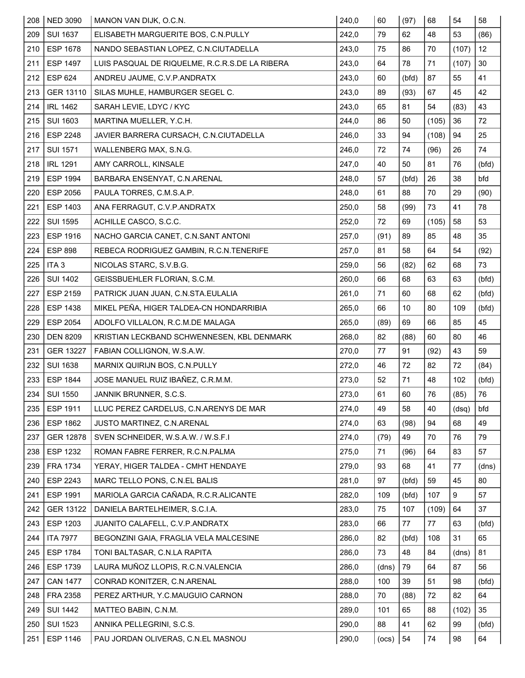| 208 | <b>NED 3090</b>  | MANON VAN DIJK, O.C.N.                         | 240,0 | 60    | (97)  | 68    | 54    | 58    |
|-----|------------------|------------------------------------------------|-------|-------|-------|-------|-------|-------|
| 209 | <b>SUI 1637</b>  | ELISABETH MARGUERITE BOS, C.N.PULLY            | 242,0 | 79    | 62    | 48    | 53    | (86)  |
| 210 | <b>ESP 1678</b>  | NANDO SEBASTIAN LOPEZ, C.N.CIUTADELLA          | 243,0 | 75    | 86    | 70    | (107) | 12    |
| 211 | <b>ESP 1497</b>  | LUIS PASQUAL DE RIQUELME, R.C.R.S.DE LA RIBERA | 243,0 | 64    | 78    | 71    | (107) | 30    |
| 212 | <b>ESP 624</b>   | ANDREU JAUME, C.V.P.ANDRATX                    | 243,0 | 60    | (bfd) | 87    | 55    | 41    |
| 213 | GER 13110        | SILAS MUHLE, HAMBURGER SEGEL C.                | 243,0 | 89    | (93)  | 67    | 45    | 42    |
| 214 | <b>IRL 1462</b>  | SARAH LEVIE, LDYC / KYC                        | 243,0 | 65    | 81    | 54    | (83)  | 43    |
| 215 | <b>SUI 1603</b>  | MARTINA MUELLER, Y.C.H.                        | 244,0 | 86    | 50    | (105) | 36    | 72    |
| 216 | <b>ESP 2248</b>  | JAVIER BARRERA CURSACH, C.N.CIUTADELLA         | 246,0 | 33    | 94    | (108) | 94    | 25    |
| 217 | <b>SUI 1571</b>  | WALLENBERG MAX, S.N.G.                         | 246,0 | 72    | 74    | (96)  | 26    | 74    |
| 218 | <b>IRL 1291</b>  | AMY CARROLL, KINSALE                           | 247,0 | 40    | 50    | 81    | 76    | (bfd) |
| 219 | <b>ESP 1994</b>  | BARBARA ENSENYAT, C.N.ARENAL                   | 248,0 | 57    | (bfd) | 26    | 38    | bfd   |
| 220 | ESP 2056         | PAULA TORRES, C.M.S.A.P.                       | 248,0 | 61    | 88    | 70    | 29    | (90)  |
| 221 | ESP 1403         | ANA FERRAGUT, C.V.P.ANDRATX                    | 250,0 | 58    | (99)  | 73    | 41    | 78    |
| 222 | <b>SUI 1595</b>  | ACHILLE CASCO, S.C.C.                          | 252,0 | 72    | 69    | (105) | 58    | 53    |
| 223 | <b>ESP 1916</b>  | NACHO GARCIA CANET, C.N.SANT ANTONI            | 257,0 | (91)  | 89    | 85    | 48    | 35    |
| 224 | <b>ESP 898</b>   | REBECA RODRIGUEZ GAMBIN, R.C.N.TENERIFE        | 257,0 | 81    | 58    | 64    | 54    | (92)  |
| 225 | ITA <sub>3</sub> | NICOLAS STARC, S.V.B.G.                        | 259,0 | 56    | (82)  | 62    | 68    | 73    |
| 226 | <b>SUI 1402</b>  | GEISSBUEHLER FLORIAN, S.C.M.                   | 260,0 | 66    | 68    | 63    | 63    | (bfd) |
| 227 | ESP 2159         | PATRICK JUAN JUAN, C.N.STA.EULALIA             | 261,0 | 71    | 60    | 68    | 62    | (bfd) |
| 228 | <b>ESP 1438</b>  | MIKEL PEÑA, HIGER TALDEA-CN HONDARRIBIA        | 265,0 | 66    | 10    | 80    | 109   | (bfd) |
| 229 | <b>ESP 2054</b>  | ADOLFO VILLALON, R.C.M.DE MALAGA               | 265,0 | (89)  | 69    | 66    | 85    | 45    |
| 230 | <b>DEN 8209</b>  | KRISTIAN LECKBAND SCHWENNESEN, KBL DENMARK     | 268,0 | 82    | (88)  | 60    | 80    | 46    |
| 231 | <b>GER 13227</b> | FABIAN COLLIGNON, W.S.A.W.                     | 270,0 | 77    | 91    | (92)  | 43    | 59    |
| 232 | <b>SUI 1638</b>  | MARNIX QUIRIJN BOS, C.N.PULLY                  | 272,0 | 46    | 72    | 82    | 72    | (84)  |
| 233 | <b>ESP 1844</b>  | JOSE MANUEL RUIZ IBAÑEZ, C.R.M.M.              | 273,0 | 52    | 71    | 48    | 102   | (bfd) |
| 234 | <b>SUI 1550</b>  | JANNIK BRUNNER, S.C.S.                         | 273,0 | 61    | 60    | 76    | (85)  | 76    |
| 235 | ESP 1911         | LLUC PEREZ CARDELUS, C.N.ARENYS DE MAR         | 274,0 | 49    | 58    | 40    | (dsq) | bfd   |
| 236 | <b>ESP 1862</b>  | JUSTO MARTINEZ, C.N.ARENAL                     | 274,0 | 63    | (98)  | 94    | 68    | 49    |
| 237 | GER 12878        | SVEN SCHNEIDER, W.S.A.W. / W.S.F.I             | 274,0 | (79)  | 49    | 70    | 76    | 79    |
| 238 | <b>ESP 1232</b>  | ROMAN FABRE FERRER, R.C.N.PALMA                | 275,0 | 71    | (96)  | 64    | 83    | 57    |
| 239 | <b>FRA 1734</b>  | YERAY, HIGER TALDEA - CMHT HENDAYE             | 279,0 | 93    | 68    | 41    | 77    | (dns) |
| 240 | <b>ESP 2243</b>  | MARC TELLO PONS, C.N.EL BALIS                  | 281,0 | 97    | (bfd) | 59    | 45    | 80    |
| 241 | <b>ESP 1991</b>  | MARIOLA GARCIA CAÑADA, R.C.R.ALICANTE          | 282,0 | 109   | (bfd) | 107   | 9     | 57    |
| 242 | GER 13122        | DANIELA BARTELHEIMER, S.C.I.A.                 | 283,0 | 75    | 107   | (109) | 64    | 37    |
| 243 | <b>ESP 1203</b>  | JUANITO CALAFELL, C.V.P.ANDRATX                | 283,0 | 66    | 77    | 77    | 63    | (bfd) |
| 244 | <b>ITA 7977</b>  | BEGONZINI GAIA, FRAGLIA VELA MALCESINE         | 286,0 | 82    | (bfd) | 108   | 31    | 65    |
| 245 | <b>ESP 1784</b>  | TONI BALTASAR, C.N.LA RAPITA                   | 286,0 | 73    | 48    | 84    | (dns) | 81    |
| 246 | ESP 1739         | LAURA MUÑOZ LLOPIS, R.C.N.VALENCIA             | 286,0 | (dns) | 79    | 64    | 87    | 56    |
| 247 | <b>CAN 1477</b>  | CONRAD KONITZER, C.N.ARENAL                    | 288,0 | 100   | 39    | 51    | 98    | (bfd) |
| 248 | FRA 2358         | PEREZ ARTHUR, Y.C.MAUGUIO CARNON               | 288,0 | 70    | (88)  | 72    | 82    | 64    |
| 249 | <b>SUI 1442</b>  | MATTEO BABIN, C.N.M.                           | 289,0 | 101   | 65    | 88    | (102) | 35    |
| 250 | <b>SUI 1523</b>  | ANNIKA PELLEGRINI, S.C.S.                      | 290,0 | 88    | 41    | 62    | 99    | (bfd) |
| 251 | <b>ESP 1146</b>  | PAU JORDAN OLIVERAS, C.N.EL MASNOU             | 290,0 | (ocs) | 54    | 74    | 98    | 64    |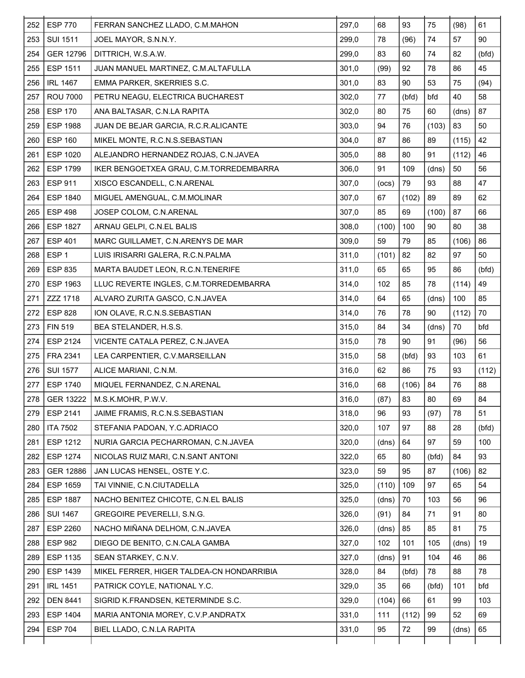| 252 | <b>ESP 770</b>   | FERRAN SANCHEZ LLADO, C.M.MAHON           | 297,0 | 68    | 93    | 75     | (98)  | 61    |
|-----|------------------|-------------------------------------------|-------|-------|-------|--------|-------|-------|
| 253 | <b>SUI 1511</b>  | JOEL MAYOR, S.N.N.Y.                      | 299,0 | 78    | (96)  | 74     | 57    | 90    |
| 254 | <b>GER 12796</b> | DITTRICH, W.S.A.W.                        | 299,0 | 83    | 60    | 74     | 82    | (bfd) |
| 255 | ESP 1511         | JUAN MANUEL MARTINEZ, C.M.ALTAFULLA       | 301,0 | (99)  | 92    | 78     | 86    | 45    |
| 256 | <b>IRL 1467</b>  | EMMA PARKER, SKERRIES S.C.                | 301,0 | 83    | 90    | 53     | 75    | (94)  |
| 257 | <b>ROU 7000</b>  | PETRU NEAGU, ELECTRICA BUCHAREST          | 302,0 | 77    | (bfd) | bfd    | 40    | 58    |
| 258 | <b>ESP 170</b>   | ANA BALTASAR, C.N.LA RAPITA               | 302,0 | 80    | 75    | 60     | (dns) | 87    |
| 259 | <b>ESP 1988</b>  | JUAN DE BEJAR GARCIA, R.C.R.ALICANTE      | 303,0 | 94    | 76    | (103)  | 83    | 50    |
| 260 | <b>ESP 160</b>   | MIKEL MONTE, R.C.N.S.SEBASTIAN            | 304,0 | 87    | 86    | 89     | (115) | 42    |
| 261 | <b>ESP 1020</b>  | ALEJANDRO HERNANDEZ ROJAS, C.N.JAVEA      | 305,0 | 88    | 80    | 91     | (112) | 46    |
| 262 | <b>ESP 1799</b>  | IKER BENGOETXEA GRAU, C.M.TORREDEMBARRA   | 306,0 | 91    | 109   | (dns)  | 50    | 56    |
| 263 | <b>ESP 911</b>   | XISCO ESCANDELL, C.N.ARENAL               | 307,0 | (ocs) | 79    | 93     | 88    | 47    |
| 264 | <b>ESP 1840</b>  | MIGUEL AMENGUAL, C.M.MOLINAR              | 307,0 | 67    | (102) | 89     | 89    | 62    |
| 265 | <b>ESP 498</b>   | JOSEP COLOM, C.N.ARENAL                   | 307,0 | 85    | 69    | (100)  | 87    | 66    |
| 266 | <b>ESP 1827</b>  | ARNAU GELPI, C.N.EL BALIS                 | 308,0 | (100) | 100   | 90     | 80    | 38    |
| 267 | <b>ESP 401</b>   | MARC GUILLAMET, C.N.ARENYS DE MAR         | 309,0 | 59    | 79    | 85     | (106) | 86    |
| 268 | ESP <sub>1</sub> | LUIS IRISARRI GALERA, R.C.N.PALMA         | 311,0 | (101) | 82    | 82     | 97    | 50    |
| 269 | <b>ESP 835</b>   | MARTA BAUDET LEON, R.C.N.TENERIFE         | 311,0 | 65    | 65    | 95     | 86    | (bfd) |
| 270 | ESP 1963         | LLUC REVERTE INGLES, C.M.TORREDEMBARRA    | 314,0 | 102   | 85    | 78     | (114) | 49    |
| 271 | ZZZ 1718         | ALVARO ZURITA GASCO, C.N.JAVEA            | 314,0 | 64    | 65    | (dns)  | 100   | 85    |
| 272 | <b>ESP 828</b>   | ION OLAVE, R.C.N.S.SEBASTIAN              | 314,0 | 76    | 78    | 90     | (112) | 70    |
| 273 | <b>FIN 519</b>   | BEA STELANDER, H.S.S.                     | 315,0 | 84    | 34    | (dns)  | 70    | bfd   |
| 274 | ESP 2124         | VICENTE CATALA PEREZ, C.N.JAVEA           | 315,0 | 78    | 90    | 91     | (96)  | 56    |
| 275 | FRA 2341         | LEA CARPENTIER, C.V.MARSEILLAN            | 315,0 | 58    | (bfd) | 93     | 103   | 61    |
| 276 | <b>SUI 1577</b>  | ALICE MARIANI, C.N.M.                     | 316,0 | 62    | 86    | 75     | 93    | (112) |
| 277 | <b>ESP 1740</b>  | MIQUEL FERNANDEZ, C.N.ARENAL              | 316,0 | 68    | (106) | 84     | 76    | 88    |
| 278 | GER 13222        | M.S.K.MOHR, P.W.V.                        | 316,0 | (87)  | 83    | $80\,$ | 69    | 84    |
| 279 | ESP 2141         | JAIME FRAMIS, R.C.N.S.SEBASTIAN           | 318,0 | 96    | 93    | (97)   | 78    | 51    |
| 280 | <b>ITA 7502</b>  | STEFANIA PADOAN, Y.C.ADRIACO              | 320,0 | 107   | 97    | 88     | 28    | (bfd) |
| 281 | ESP 1212         | NURIA GARCIA PECHARROMAN, C.N.JAVEA       | 320,0 | (dns) | 64    | 97     | 59    | 100   |
| 282 | <b>ESP 1274</b>  | NICOLAS RUIZ MARI, C.N.SANT ANTONI        | 322,0 | 65    | 80    | (bfd)  | 84    | 93    |
| 283 | GER 12886        | JAN LUCAS HENSEL, OSTE Y.C.               | 323,0 | 59    | 95    | 87     | (106) | 82    |
| 284 | <b>ESP 1659</b>  | TAI VINNIE, C.N.CIUTADELLA                | 325,0 | (110) | 109   | 97     | 65    | 54    |
| 285 | <b>ESP 1887</b>  | NACHO BENITEZ CHICOTE, C.N.EL BALIS       | 325,0 | (dns) | 70    | 103    | 56    | 96    |
| 286 | <b>SUI 1467</b>  | GREGOIRE PEVERELLI, S.N.G.                | 326,0 | (91)  | 84    | 71     | 91    | 80    |
| 287 | ESP 2260         | NACHO MIÑANA DELHOM, C.N.JAVEA            | 326,0 | (dns) | 85    | 85     | 81    | 75    |
| 288 | <b>ESP 982</b>   | DIEGO DE BENITO, C.N.CALA GAMBA           | 327,0 | 102   | 101   | 105    | (dns) | 19    |
| 289 | ESP 1135         | SEAN STARKEY, C.N.V.                      | 327,0 | (dns) | 91    | 104    | 46    | 86    |
| 290 | ESP 1439         | MIKEL FERRER, HIGER TALDEA-CN HONDARRIBIA | 328,0 | 84    | (bfd) | 78     | 88    | 78    |
| 291 | <b>IRL 1451</b>  | PATRICK COYLE, NATIONAL Y.C.              | 329,0 | 35    | 66    | (bfd)  | 101   | bfd   |
| 292 | <b>DEN 8441</b>  | SIGRID K.FRANDSEN, KETERMINDE S.C.        | 329,0 | (104) | 66    | 61     | 99    | 103   |
| 293 | ESP 1404         | MARIA ANTONIA MOREY, C.V.P.ANDRATX        | 331,0 | 111   | (112) | 99     | 52    | 69    |
| 294 | <b>ESP 704</b>   | BIEL LLADO, C.N.LA RAPITA                 | 331,0 | 95    | 72    | 99     | (dns) | 65    |
|     |                  |                                           |       |       |       |        |       |       |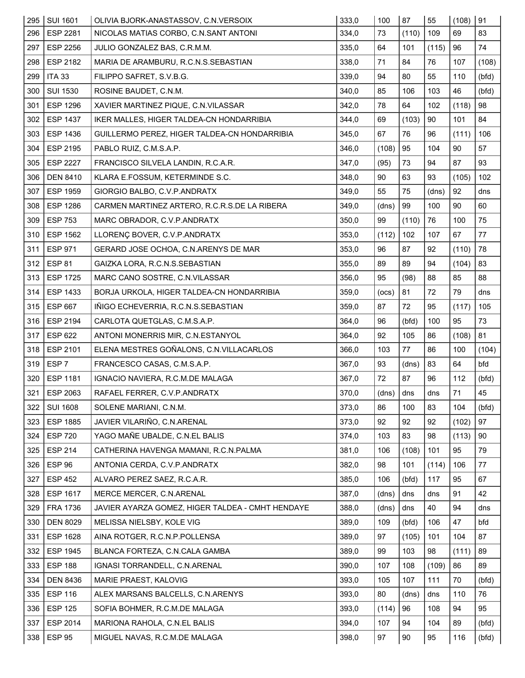| 295 | <b>SUI 1601</b>  | OLIVIA BJORK-ANASTASSOV, C.N.VERSOIX             | 333,0 | 100   | 87    | 55    | (108) | $\vert$ 91 |
|-----|------------------|--------------------------------------------------|-------|-------|-------|-------|-------|------------|
| 296 | <b>ESP 2281</b>  | NICOLAS MATIAS CORBO, C.N.SANT ANTONI            | 334,0 | 73    | (110) | 109   | 69    | 83         |
| 297 | <b>ESP 2256</b>  | JULIO GONZALEZ BAS, C.R.M.M.                     | 335,0 | 64    | 101   | (115) | 96    | 74         |
| 298 | ESP 2182         | MARIA DE ARAMBURU, R.C.N.S.SEBASTIAN             | 338,0 | 71    | 84    | 76    | 107   | (108)      |
| 299 | <b>ITA 33</b>    | FILIPPO SAFRET, S.V.B.G.                         | 339,0 | 94    | 80    | 55    | 110   | (bfd)      |
| 300 | <b>SUI 1530</b>  | ROSINE BAUDET, C.N.M.                            | 340,0 | 85    | 106   | 103   | 46    | (bfd)      |
| 301 | <b>ESP 1296</b>  | XAVIER MARTINEZ PIQUE, C.N.VILASSAR              | 342,0 | 78    | 64    | 102   | (118) | 98         |
| 302 | <b>ESP 1437</b>  | IKER MALLES, HIGER TALDEA-CN HONDARRIBIA         | 344,0 | 69    | (103) | 90    | 101   | 84         |
| 303 | <b>ESP 1436</b>  | GUILLERMO PEREZ, HIGER TALDEA-CN HONDARRIBIA     | 345,0 | 67    | 76    | 96    | (111) | 106        |
| 304 | ESP 2195         | PABLO RUIZ, C.M.S.A.P.                           | 346,0 | (108) | 95    | 104   | 90    | 57         |
| 305 | <b>ESP 2227</b>  | FRANCISCO SILVELA LANDIN, R.C.A.R.               | 347,0 | (95)  | 73    | 94    | 87    | 93         |
| 306 | <b>DEN 8410</b>  | KLARA E.FOSSUM, KETERMINDE S.C.                  | 348,0 | 90    | 63    | 93    | (105) | 102        |
| 307 | <b>ESP 1959</b>  | GIORGIO BALBO, C.V.P.ANDRATX                     | 349,0 | 55    | 75    | (dns) | 92    | dns        |
| 308 | <b>ESP 1286</b>  | CARMEN MARTINEZ ARTERO, R.C.R.S.DE LA RIBERA     | 349,0 | (dns) | 99    | 100   | 90    | 60         |
| 309 | <b>ESP 753</b>   | MARC OBRADOR, C.V.P.ANDRATX                      | 350,0 | 99    | (110) | 76    | 100   | 75         |
| 310 | <b>ESP 1562</b>  | LLORENÇ BOVER, C.V.P.ANDRATX                     | 353,0 | (112) | 102   | 107   | 67    | 77         |
| 311 | <b>ESP 971</b>   | GERARD JOSE OCHOA, C.N.ARENYS DE MAR             | 353,0 | 96    | 87    | 92    | (110) | 78         |
| 312 | <b>ESP 81</b>    | GAIZKA LORA, R.C.N.S.SEBASTIAN                   | 355,0 | 89    | 89    | 94    | (104) | 83         |
| 313 | <b>ESP 1725</b>  | MARC CANO SOSTRE, C.N.VILASSAR                   | 356,0 | 95    | (98)  | 88    | 85    | 88         |
| 314 | ESP 1433         | BORJA URKOLA, HIGER TALDEA-CN HONDARRIBIA        | 359,0 | (ocs) | 81    | 72    | 79    | dns        |
| 315 | <b>ESP 667</b>   | IÑIGO ECHEVERRIA, R.C.N.S.SEBASTIAN              | 359,0 | 87    | 72    | 95    | (117) | 105        |
| 316 | <b>ESP 2194</b>  | CARLOTA QUETGLAS, C.M.S.A.P.                     | 364,0 | 96    | (bfd) | 100   | 95    | 73         |
| 317 | <b>ESP 622</b>   | ANTONI MONERRIS MIR, C.N.ESTANYOL                | 364,0 | 92    | 105   | 86    | (108) | 81         |
| 318 | ESP 2101         | ELENA MESTRES GOÑALONS, C.N.VILLACARLOS          | 366,0 | 103   | 77    | 86    | 100   | (104)      |
| 319 | ESP <sub>7</sub> | FRANCESCO CASAS, C.M.S.A.P.                      | 367,0 | 93    | (dns) | 83    | 64    | bfd        |
| 320 | <b>ESP 1181</b>  | IGNACIO NAVIERA, R.C.M.DE MALAGA                 | 367,0 | 72    | 87    | 96    | 112   | (bfd)      |
| 321 | ESP 2063         | RAFAEL FERRER, C.V.P.ANDRATX                     | 370,0 | (dns) | dns   | dns   | 71    | 45         |
| 322 | <b>SUI 1608</b>  | SOLENE MARIANI, C.N.M.                           | 373,0 | 86    | 100   | 83    | 104   | (bfd)      |
| 323 | <b>ESP 1885</b>  | JAVIER VILARIÑO, C.N.ARENAL                      | 373,0 | 92    | 92    | 92    | (102) | 97         |
| 324 | <b>ESP 720</b>   | YAGO MAÑE UBALDE, C.N.EL BALIS                   | 374,0 | 103   | 83    | 98    | (113) | 90         |
| 325 | <b>ESP 214</b>   | CATHERINA HAVENGA MAMANI, R.C.N.PALMA            | 381,0 | 106   | (108) | 101   | 95    | 79         |
| 326 | ESP 96           | ANTONIA CERDA, C.V.P.ANDRATX                     | 382,0 | 98    | 101   | (114) | 106   | 77         |
| 327 | <b>ESP 452</b>   | ALVARO PEREZ SAEZ, R.C.A.R.                      | 385,0 | 106   | (bfd) | 117   | 95    | 67         |
| 328 | <b>ESP 1617</b>  | MERCE MERCER, C.N.ARENAL                         | 387,0 | (dns) | dns   | dns   | 91    | 42         |
| 329 | FRA 1736         | JAVIER AYARZA GOMEZ, HIGER TALDEA - CMHT HENDAYE | 388,0 | (dns) | dns   | 40    | 94    | dns        |
| 330 | <b>DEN 8029</b>  | MELISSA NIELSBY, KOLE VIG                        | 389,0 | 109   | (bfd) | 106   | 47    | bfd        |
| 331 | <b>ESP 1628</b>  | AINA ROTGER, R.C.N.P.POLLENSA                    | 389,0 | 97    | (105) | 101   | 104   | 87         |
| 332 | <b>ESP 1945</b>  | BLANCA FORTEZA, C.N.CALA GAMBA                   | 389,0 | 99    | 103   | 98    | (111) | 89         |
| 333 | <b>ESP 188</b>   | IGNASI TORRANDELL, C.N.ARENAL                    | 390,0 | 107   | 108   | (109) | 86    | 89         |
| 334 | <b>DEN 8436</b>  | MARIE PRAEST, KALOVIG                            | 393,0 | 105   | 107   | 111   | 70    | (bfd)      |
| 335 | <b>ESP 116</b>   | ALEX MARSANS BALCELLS, C.N.ARENYS                | 393,0 | 80    | (dns) | dns   | 110   | 76         |
| 336 | <b>ESP 125</b>   | SOFIA BOHMER, R.C.M.DE MALAGA                    | 393,0 | (114) | 96    | 108   | 94    | 95         |
| 337 | ESP 2014         | MARIONA RAHOLA, C.N.EL BALIS                     | 394,0 | 107   | 94    | 104   | 89    | (bfd)      |
| 338 | <b>ESP 95</b>    | MIGUEL NAVAS, R.C.M.DE MALAGA                    | 398,0 | 97    | 90    | 95    | 116   | (bfd)      |